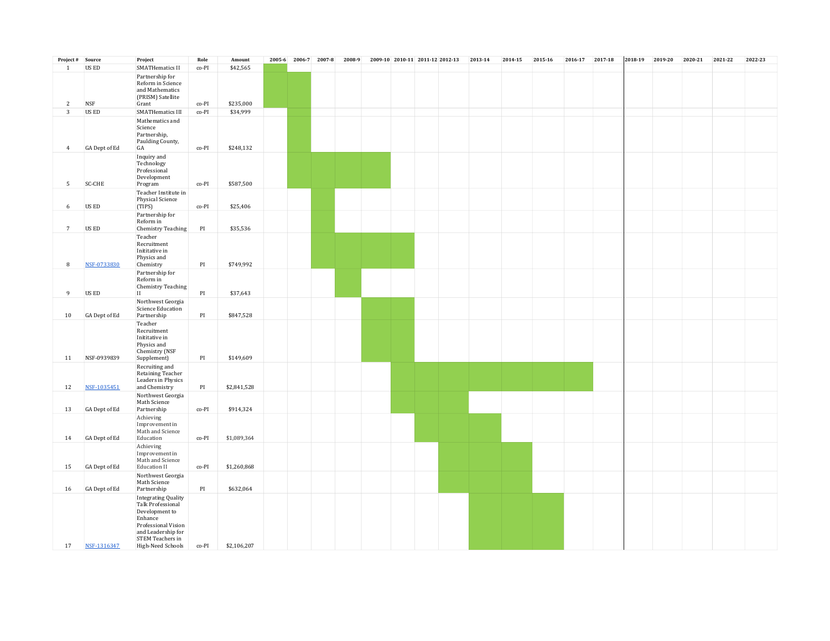| Project # Source |               | Project                                                                                                                                                            | Role  | Amount      |  | 2005-6 2006-7 2007-8 | 2008-9 | 2009-10 2010-11 2011-12 2012-13 |  | 2013-14 | 2014-15 | 2015-16 | 2016-17 2017-18 | 2018-19 | 2019-20 | 2020-21 | 2021-22 | 2022-23 |
|------------------|---------------|--------------------------------------------------------------------------------------------------------------------------------------------------------------------|-------|-------------|--|----------------------|--------|---------------------------------|--|---------|---------|---------|-----------------|---------|---------|---------|---------|---------|
| $\mathbf{1}$     | US ED         | <b>SMATHematics II</b>                                                                                                                                             | co-PI | \$42,565    |  |                      |        |                                 |  |         |         |         |                 |         |         |         |         |         |
|                  |               | Partnership for<br>Reform in Science<br>and Mathematics<br>(PRISM) Satellite                                                                                       |       |             |  |                      |        |                                 |  |         |         |         |                 |         |         |         |         |         |
| $\overline{c}$   | <b>NSF</b>    | Grant                                                                                                                                                              | co-PI | \$235,000   |  |                      |        |                                 |  |         |         |         |                 |         |         |         |         |         |
| 3                | US ED         | <b>SMATHematics III</b><br>Mathematics and<br>Science<br>Partnership,<br>Paulding County,                                                                          | co-PI | \$34,999    |  |                      |        |                                 |  |         |         |         |                 |         |         |         |         |         |
| $\overline{4}$   | GA Dept of Ed | GA                                                                                                                                                                 | co-PI | \$248,132   |  |                      |        |                                 |  |         |         |         |                 |         |         |         |         |         |
| -5               | SC-CHE        | Inquiry and<br>Technology<br>Professional<br>Development<br>Program                                                                                                | co-PI | \$587,500   |  |                      |        |                                 |  |         |         |         |                 |         |         |         |         |         |
|                  |               |                                                                                                                                                                    |       |             |  |                      |        |                                 |  |         |         |         |                 |         |         |         |         |         |
| 6                | US ED         | Physical Science<br>(TIPS)                                                                                                                                         | co-PI | \$25,406    |  |                      |        |                                 |  |         |         |         |                 |         |         |         |         |         |
| 7                | US ED         | Partnership for<br>Reform in<br>Chemistry Teaching                                                                                                                 | PI    | \$35,536    |  |                      |        |                                 |  |         |         |         |                 |         |         |         |         |         |
| 8                | NSF-0733830   | Teacher<br>Recruitment<br>Inititative in<br>Physics and<br>Chemistry                                                                                               | PI    | \$749,992   |  |                      |        |                                 |  |         |         |         |                 |         |         |         |         |         |
|                  |               | Partnership for                                                                                                                                                    |       |             |  |                      |        |                                 |  |         |         |         |                 |         |         |         |         |         |
| 9                | US ED         | Reform in<br><b>Chemistry Teaching</b><br>$\mathbf{II}$                                                                                                            | PI    | \$37,643    |  |                      |        |                                 |  |         |         |         |                 |         |         |         |         |         |
|                  |               | Northwest Georgia                                                                                                                                                  |       |             |  |                      |        |                                 |  |         |         |         |                 |         |         |         |         |         |
| 10               | GA Dept of Ed | Science Education<br>Partnership<br>Teacher                                                                                                                        | PI    | \$847,528   |  |                      |        |                                 |  |         |         |         |                 |         |         |         |         |         |
| 11               | NSF-0939839   | Recruitment<br>Inititative in<br>Physics and<br>Chemistry (NSF<br>Supplement)                                                                                      | PI    | \$149,609   |  |                      |        |                                 |  |         |         |         |                 |         |         |         |         |         |
|                  |               | Recruiting and                                                                                                                                                     |       |             |  |                      |        |                                 |  |         |         |         |                 |         |         |         |         |         |
| 12               | NSF-1035451   | Retaining Teacher<br>Leaders in Physics<br>and Chemistry                                                                                                           | PI    | \$2,841,528 |  |                      |        |                                 |  |         |         |         |                 |         |         |         |         |         |
| 13               | GA Dept of Ed | Northwest Georgia<br>Math Science<br>Partnership                                                                                                                   | co-PI | \$914,324   |  |                      |        |                                 |  |         |         |         |                 |         |         |         |         |         |
|                  |               | Achieving<br>Improvement in<br>Math and Science                                                                                                                    |       |             |  |                      |        |                                 |  |         |         |         |                 |         |         |         |         |         |
| 14               | GA Dept of Ed | Education                                                                                                                                                          | co-PI | \$1,089,364 |  |                      |        |                                 |  |         |         |         |                 |         |         |         |         |         |
| 15               | GA Dept of Ed | Achieving<br>Improvement in<br>Math and Science<br><b>Education II</b>                                                                                             | co-PI | \$1,260,868 |  |                      |        |                                 |  |         |         |         |                 |         |         |         |         |         |
| 16               | GA Dept of Ed | Northwest Georgia<br>Math Science<br>Partnership                                                                                                                   | PI    | \$632,064   |  |                      |        |                                 |  |         |         |         |                 |         |         |         |         |         |
| 17               | NSF-1316347   | <b>Integrating Quality</b><br>Talk Professional<br>Development to<br>Enhance<br>Professional Vision<br>and Leadership for<br>STEM Teachers in<br>High-Need Schools | co-PI | \$2,106,207 |  |                      |        |                                 |  |         |         |         |                 |         |         |         |         |         |